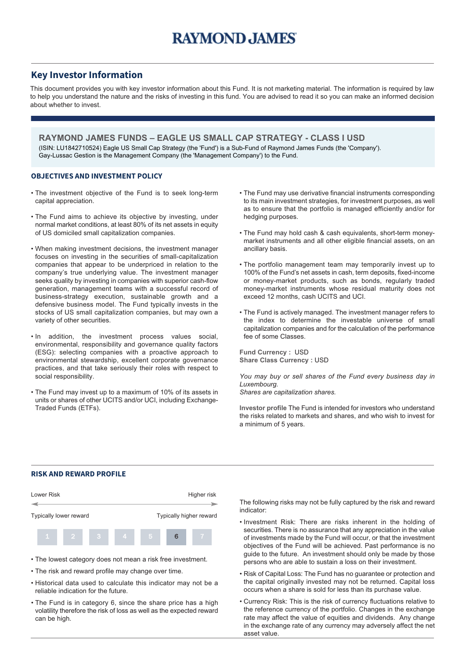## **Key Investor Information**

This document provides you with key investor information about this Fund. It is not marketing material. The information is required by law to help you understand the nature and the risks of investing in this fund. You are advised to read it so you can make an informed decision about whether to invest.

**RAYMOND JAMES FUNDS – EAGLE US SMALL CAP STRATEGY - CLASS I USD** (ISIN: LU1842710524) Eagle US Small Cap Strategy (the 'Fund') is a Sub-Fund of Raymond James Funds (the 'Company'). Gay-Lussac Gestion is the Management Company (the 'Management Company') to the Fund.

### **OBJECTIVES AND INVESTMENT POLICY**

- The investment objective of the Fund is to seek long-term capital appreciation.
- The Fund aims to achieve its objective by investing, under normal market conditions, at least 80% of its net assets in equity of US domiciled small capitalization companies.
- When making investment decisions, the investment manager focuses on investing in the securities of small-capitalization companies that appear to be underpriced in relation to the company's true underlying value. The investment manager seeks quality by investing in companies with superior cash-flow generation, management teams with a successful record of business-strategy execution, sustainable growth and a defensive business model. The Fund typically invests in the stocks of US small capitalization companies, but may own a variety of other securities.
- In addition, the investment process values social, environmental, responsibility and governance quality factors (ESG): selecting companies with a proactive approach to environmental stewardship, excellent corporate governance practices, and that take seriously their roles with respect to social responsibility.
- The Fund may invest up to a maximum of 10% of its assets in units or shares of other UCITS and/or UCI, including Exchange-Traded Funds (ETFs).
- The Fund may use derivative financial instruments corresponding to its main investment strategies, for investment purposes, as well as to ensure that the portfolio is managed efficiently and/or for hedging purposes.
- The Fund may hold cash & cash equivalents, short-term moneymarket instruments and all other eligible financial assets, on an ancillary basis.
- The portfolio management team may temporarily invest up to 100% of the Fund's net assets in cash, term deposits, fixed-income or money-market products, such as bonds, regularly traded money-market instruments whose residual maturity does not exceed 12 months, cash UCITS and UCI.
- The Fund is actively managed. The investment manager refers to the index to determine the investable universe of small capitalization companies and for the calculation of the performance fee of some Classes.

**Fund Currency :** USD **Share Class Currency :** USD

*You may buy or sell shares of the Fund every business day in Luxembourg.*

*Shares are capitalization shares.*

**Investor profile** The Fund is intended for investors who understand the risks related to markets and shares, and who wish to invest for a minimum of 5 years.

#### **RISK AND REWARD PROFILE**



- Historical data used to calculate this indicator may not be a reliable indication for the future.
- The Fund is in category 6, since the share price has a high volatility therefore the risk of loss as well as the expected reward can be high.

The following risks may not be fully captured by the risk and reward indicator:

- Investment Risk: There are risks inherent in the holding of securities. There is no assurance that any appreciation in the value of investments made by the Fund will occur, or that the investment objectives of the Fund will be achieved. Past performance is no guide to the future. An investment should only be made by those persons who are able to sustain a loss on their investment.
- Risk of Capital Loss: The Fund has no guarantee or protection and the capital originally invested may not be returned. Capital loss occurs when a share is sold for less than its purchase value.
- Currency Risk: This is the risk of currency fluctuations relative to the reference currency of the portfolio. Changes in the exchange rate may affect the value of equities and dividends. Any change in the exchange rate of any currency may adversely affect the net asset value.